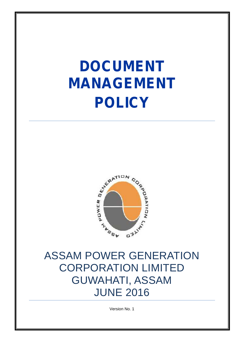# **DOCUMENT MANAGEMENT POLICY**



### ASSAM POWER GENERATION CORPORATION LIMITED GUWAHATI, ASSAM JUNE 2016

Version No. 1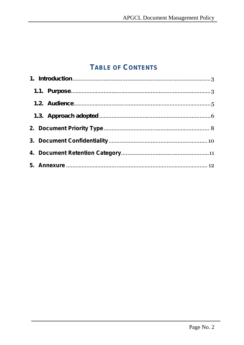#### **TABLE OF CONTENTS**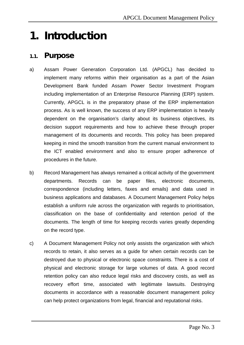### *1. Introduction*

#### *1.1. Purpose*

- a) Assam Power Generation Corporation Ltd. (APGCL) has decided to implement many reforms within their organisation as a part of the Asian Development Bank funded Assam Power Sector Investment Program including implementation of an Enterprise Resource Planning (ERP) system. Currently, APGCL is in the preparatory phase of the ERP implementation process. As is well known, the success of any ERP implementation is heavily dependent on the organisation's clarity about its business objectives, its decision support requirements and how to achieve these through proper management of its documents and records. This policy has been prepared keeping in mind the smooth transition from the current manual environment to the ICT enabled environment and also to ensure proper adherence of procedures in the future.
- b) Record Management has always remained a critical activity of the government departments. Records can be paper files, electronic documents, correspondence (including letters, faxes and emails) and data used in business applications and databases. A Document Management Policy helps establish a uniform rule across the organization with regards to prioritisation, classification on the base of confidentiality and retention period of the documents. The length of time for keeping records varies greatly depending on the record type.
- c) A Document Management Policy not only assists the organization with which records to retain, it also serves as a guide for when certain records can be destroyed due to physical or electronic space constraints. There is a cost of physical and electronic storage for large volumes of data. A good record retention policy can also reduce legal risks and discovery costs, as well as recovery effort time, associated with legitimate lawsuits. Destroying documents in accordance with a reasonable document management policy can help protect organizations from legal, financial and reputational risks.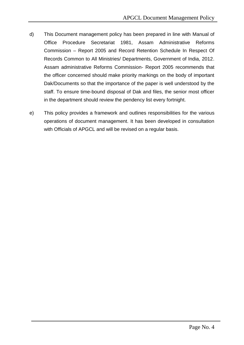- d) This Document management policy has been prepared in line with Manual of Office Procedure Secretariat 1981, Assam Administrative Reforms Commission – Report 2005 and Record Retention Schedule In Respect Of Records Common to All Ministries/ Departments, Government of India, 2012. Assam administrative Reforms Commission- Report 2005 recommends that the officer concerned should make priority markings on the body of important Dak/Documents so that the importance of the paper is well understood by the staff. To ensure time-bound disposal of Dak and files, the senior most officer in the department should review the pendency list every fortnight.
- e) This policy provides a framework and outlines responsibilities for the various operations of document management. It has been developed in consultation with Officials of APGCL and will be revised on a regular basis.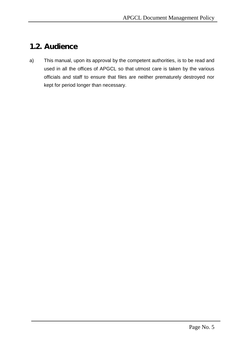#### *1.2. Audience*

a) This manual, upon its approval by the competent authorities, is to be read and used in all the offices of APGCL so that utmost care is taken by the various officials and staff to ensure that files are neither prematurely destroyed nor kept for period longer than necessary.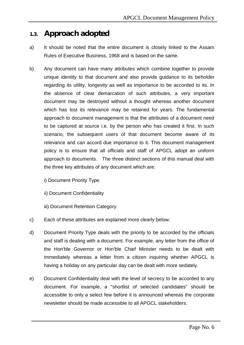#### *1.3. Approach adopted*

- a) It should be noted that the entire document is closely linked to the Assam Rules of Executive Business, 1968 and is based on the same.
- b) Any document can have many attributes which combine together to provide unique identity to that document and also provide guidance to its beholder regarding its utility, longevity as well as importance to be accorded to its. In the absence of clear demarcation of such attributes, a very important document may be destroyed without a thought whereas another document which has lost its relevance may be retained for years. The fundamental approach to document management is that the attributes of a document need to be captured at source i.e. by the person who has created it first. In such scenario, the subsequent users of that document become aware of its relevance and can accord due importance to it. This document management policy is to ensure that all officials and staff of APGCL adopt an uniform approach to documents. The three distinct sections of this manual deal with the three key attributes of any document which are:
	- i) Document Priority Type
	- ii) Document Confidentiality
	- iii) Document Retention Category
- c) Each of these attributes are explained more clearly below.
- d) Document Priority Type deals with the priority to be accorded by the officials and staff is dealing with a document. For example, any letter from the office of the Hon'ble Governor or Hon'ble Chief Minister needs to be dealt with immediately whereas a letter from a citizen inquiring whether APGCL is having a holiday on any particular day can be dealt with more sedately.
- e) Document Confidentiality deal with the level of secrecy to be accorded to any document. For example, a "shortlist of selected candidates" should be accessible to only a select few before it is announced whereas the corporate newsletter should be made accessible to all APGCL stakeholders.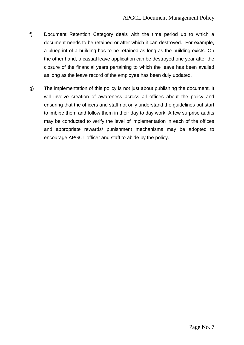- f) Document Retention Category deals with the time period up to which a document needs to be retained or after which it can destroyed. For example, a blueprint of a building has to be retained as long as the building exists. On the other hand, a casual leave application can be destroyed one year after the closure of the financial years pertaining to which the leave has been availed as long as the leave record of the employee has been duly updated.
- g) The implementation of this policy is not just about publishing the document. It will involve creation of awareness across all offices about the policy and ensuring that the officers and staff not only understand the guidelines but start to imbibe them and follow them in their day to day work. A few surprise audits may be conducted to verify the level of implementation in each of the offices and appropriate rewards/ punishment mechanisms may be adopted to encourage APGCL officer and staff to abide by the policy.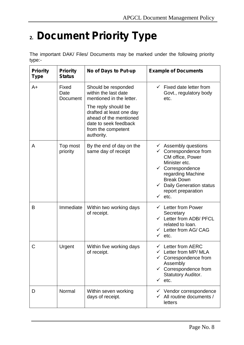# **2. Document Priority Type**

The important DAK/ Files/ Documents may be marked under the following priority type:-

| <b>Priority</b><br><b>Type</b> | <b>Priority</b><br><b>Status</b> | No of Days to Put-up                                                                                                                                                                                              | <b>Example of Documents</b>                                                                                                                                                                                                                                       |
|--------------------------------|----------------------------------|-------------------------------------------------------------------------------------------------------------------------------------------------------------------------------------------------------------------|-------------------------------------------------------------------------------------------------------------------------------------------------------------------------------------------------------------------------------------------------------------------|
| A+                             | Fixed<br>Date<br>Document        | Should be responded<br>within the last date<br>mentioned in the letter.<br>The reply should be<br>drafted at least one day<br>ahead of the mentioned<br>date to seek feedback<br>from the competent<br>authority. | $\checkmark$ Fixed date letter from<br>Govt., regulatory body<br>etc.                                                                                                                                                                                             |
| A                              | Top most<br>priority             | By the end of day on the<br>same day of receipt                                                                                                                                                                   | $\checkmark$ Assembly questions<br>$\checkmark$ Correspondence from<br>CM office, Power<br>Minister etc.<br>$\checkmark$ Correspondence<br>regarding Machine<br><b>Break Down</b><br><b>Daily Generation status</b><br>report preparation<br>$\checkmark$<br>etc. |
| B                              | Immediate                        | Within two working days<br>of receipt.                                                                                                                                                                            | $\checkmark$ Letter from Power<br>Secretary<br>$\checkmark$ Letter from ADB/ PFCL<br>related to loan.<br>$\checkmark$ Letter from AG/ CAG<br>$\checkmark$ etc.                                                                                                    |
| C                              | Urgent                           | Within five working days<br>of receipt.                                                                                                                                                                           | $\checkmark$ Letter from AERC<br>$\checkmark$ Letter from MP/MLA<br>Correspondence from<br>Assembly<br>$\checkmark$ Correspondence from<br><b>Statutory Auditor.</b><br>$\checkmark$ etc.                                                                         |
| D                              | Normal                           | Within seven working<br>days of receipt.                                                                                                                                                                          | $\checkmark$ Vendor correspondence<br>All routine documents /<br>✓<br>letters                                                                                                                                                                                     |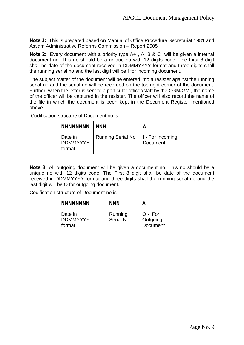**Note 1:** This is prepared based on Manual of Office Procedure Secretariat 1981 and Assam Administrative Reforms Commission – Report 2005

**Note 2:** Every document with a priority type A+ , A, B & C will be given a internal document no. This no should be a unique no with 12 digits code. The First 8 digit shall be date of the document received in DDMMYYYY format and three digits shall the running serial no and the last digit will be I for incoming document.

The subject matter of the document will be entered into a resister against the running serial no and the serial no will be recorded on the top right corner of the document. Further, when the letter is sent to a particular officer/staff by the CGM/GM , the name of the officer will be captured in the resister. The officer will also record the name of the file in which the document is been kept in the Document Register mentioned above.

Codification structure of Document no is

| <b>NNNNNNNN</b>                      | <b>NNN</b>               | Α                            |
|--------------------------------------|--------------------------|------------------------------|
| Date in<br><b>DDMMYYYY</b><br>format | <b>Running Serial No</b> | I - For Incoming<br>Document |

**Note 3:** All outgoing document will be given a document no. This no should be a unique no with 12 digits code. The First 8 digit shall be date of the document received in DDMMYYYY format and three digits shall the running serial no and the last digit will be O for outgoing document.

Codification structure of Document no is

| <b>NNNNNNNN</b>                      | <b>NNN</b>           | А                                 |
|--------------------------------------|----------------------|-----------------------------------|
| Date in<br><b>DDMMYYYY</b><br>format | Running<br>Serial No | $O - For$<br>Outgoing<br>Document |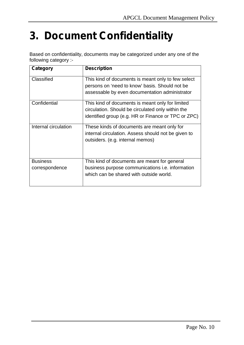# **3. Document Confidentiality**

Based on confidentiality, documents may be categorized under any one of the following category :-

| Category                          | <b>Description</b>                                                                                                                                           |
|-----------------------------------|--------------------------------------------------------------------------------------------------------------------------------------------------------------|
| Classified                        | This kind of documents is meant only to few select<br>persons on 'need to know' basis. Should not be<br>assessable by even documentation administrator       |
| Confidential                      | This kind of documents is meant only for limited<br>circulation. Should be circulated only within the<br>identified group (e.g. HR or Finance or TPC or ZPC) |
| Internal circulation              | These kinds of documents are meant only for<br>internal circulation. Assess should not be given to<br>outsiders. (e.g. internal memos)                       |
| <b>Business</b><br>correspondence | This kind of documents are meant for general<br>business purpose communications <i>i.e.</i> information<br>which can be shared with outside world.           |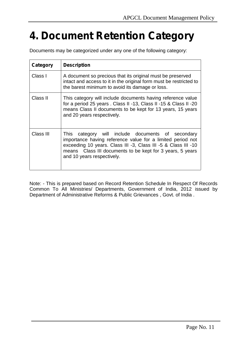# **4. Document Retention Category**

Documents may be categorized under any one of the following category:

| Category  | <b>Description</b>                                                                                                                                                                                                                                                           |
|-----------|------------------------------------------------------------------------------------------------------------------------------------------------------------------------------------------------------------------------------------------------------------------------------|
| Class I   | A document so precious that its original must be preserved<br>intact and access to it in the original form must be restricted to<br>the barest minimum to avoid its damage or loss.                                                                                          |
| Class II  | This category will include documents having reference value<br>for a period 25 years . Class II -13, Class II -15 & Class II -20<br>means Class II documents to be kept for 13 years, 15 years<br>and 20 years respectively.                                                 |
| Class III | This category will include documents of secondary<br>importance having reference value for a limited period not<br>exceeding 10 years. Class III -3, Class III -5 & Class III -10<br>means Class III documents to be kept for 3 years, 5 years<br>and 10 years respectively. |

Note: - This is prepared based on Record Retention Schedule In Respect Of Records Common To All Ministries/ Departments, Government of India, 2012 issued by Department of Administrative Reforms & Public Grievances , Govt. of India .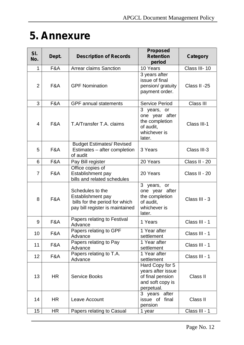# **5. Annexure**

| SI.<br>No.     | Dept. | <b>Description of Records</b>                                                                              | <b>Proposed</b><br><b>Retention</b><br>period                                              | Category        |
|----------------|-------|------------------------------------------------------------------------------------------------------------|--------------------------------------------------------------------------------------------|-----------------|
| $\mathbf{1}$   | F&A   | <b>Arrear claims Sanction</b>                                                                              | 10 Years                                                                                   | Class III-10    |
| $\overline{2}$ | F&A   | <b>GPF Nomination</b>                                                                                      | 3 years after<br>issue of final<br>pension/ gratuity<br>payment order.                     | Class II -25    |
| 3              | F&A   | <b>GPF</b> annual statements                                                                               | <b>Service Period</b>                                                                      | Class III       |
| 4              | F&A   | T.A/Transfer T.A. claims                                                                                   | 3 years, or<br>one year after<br>the completion<br>of audit,<br>whichever is<br>later.     | Class III-1     |
| 5              | F&A   | <b>Budget Estimates/ Revised</b><br>Estimates - after completion<br>of audit                               | 3 Years                                                                                    | Class III-3     |
| 6              | F&A   | Pay Bill register<br>Office copies of                                                                      | 20 Years                                                                                   | Class II - 20   |
| $\overline{7}$ | F&A   | Establishment pay<br>bills and related schedules                                                           | 20 Years                                                                                   | Class II - 20   |
| 8              | F&A   | Schedules to the<br>Establishment pay<br>bills for the period for which<br>pay bill register is maintained | 3 years, or<br>one year after<br>the completion<br>of audit,<br>whichever is<br>later.     | Class III - 3   |
| 9              | F&A   | Papers relating to Festival<br>Advance                                                                     | 1 Years                                                                                    | Class III - 1   |
| 10             | F&A   | Papers relating to GPF<br>Advance                                                                          | 1 Year after<br>settlement                                                                 | Class III - 1   |
| 11             | F&A   | Papers relating to Pay<br>Advance                                                                          | 1 Year after<br>settlement                                                                 | Class III - 1   |
| 12             | F&A   | Papers relating to T.A.<br>Advance                                                                         | 1 Year after<br>settlement                                                                 | Class III - 1   |
| 13             | HR.   | <b>Service Books</b>                                                                                       | Hard Copy for 5<br>years after issue<br>of final pension<br>and soft copy is<br>perpetual. | <b>Class II</b> |
| 14             | HR    | Leave Account                                                                                              | 3 years after<br>issue of final<br>pension                                                 | Class II        |
| 15             | HR    | Papers relating to Casual                                                                                  | 1 year                                                                                     | Class III - 1   |